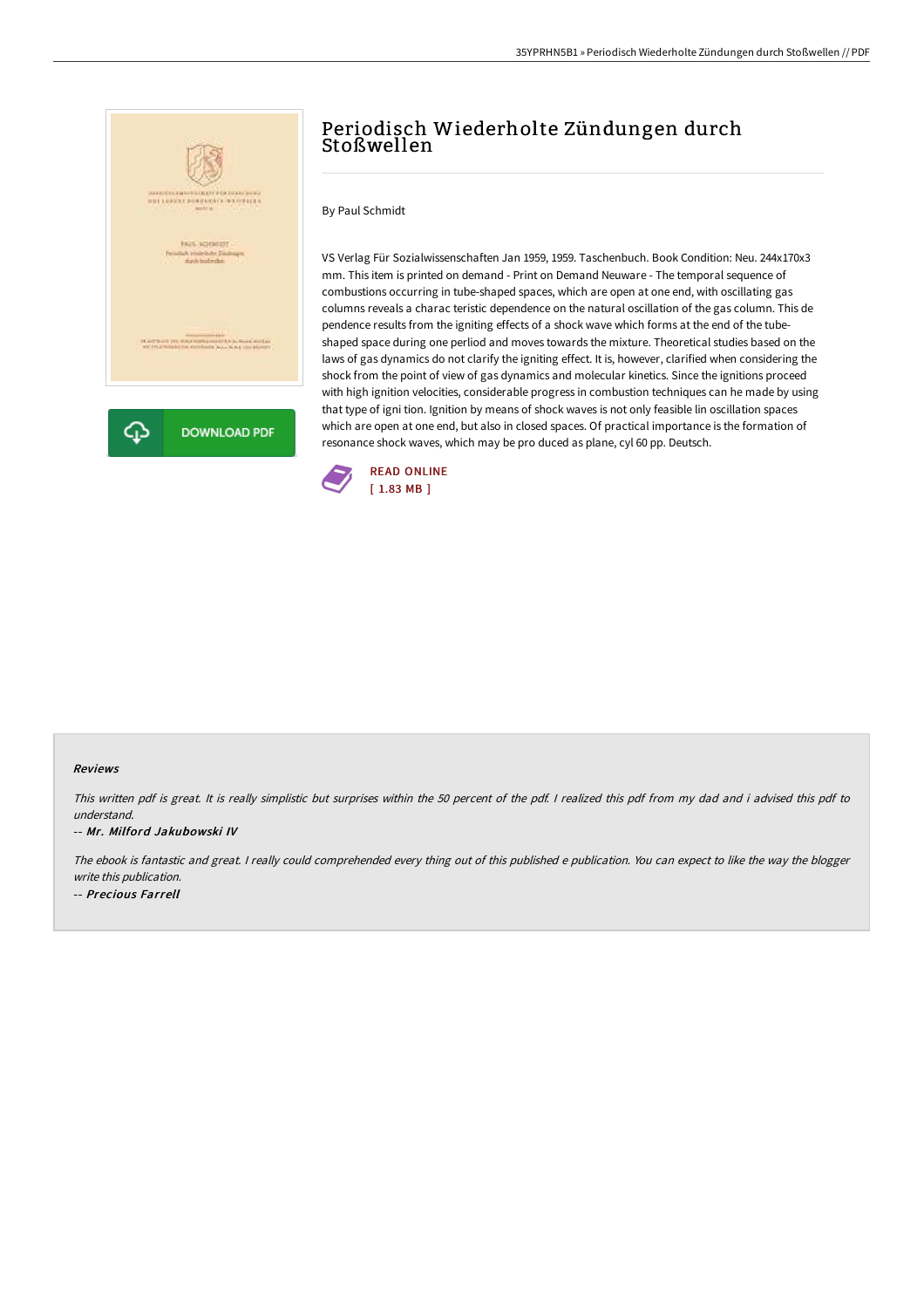

# Periodisch Wiederholte Zündungen durch Stoßwellen

By Paul Schmidt

VS Verlag Für Sozialwissenschaften Jan 1959, 1959. Taschenbuch. Book Condition: Neu. 244x170x3 mm. This item is printed on demand - Print on Demand Neuware - The temporal sequence of combustions occurring in tube-shaped spaces, which are open at one end, with oscillating gas columns reveals a charac teristic dependence on the natural oscillation of the gas column. This de pendence results from the igniting effects of a shock wave which forms at the end of the tubeshaped space during one perliod and moves towards the mixture. Theoretical studies based on the laws of gas dynamics do not clarify the igniting effect. It is, however, clarified when considering the shock from the point of view of gas dynamics and molecular kinetics. Since the ignitions proceed with high ignition velocities, considerable progress in combustion techniques can he made by using that type of igni tion. Ignition by means of shock waves is not only feasible lin oscillation spaces which are open at one end, but also in closed spaces. Of practical importance is the formation of resonance shock waves, which may be pro duced as plane, cyl 60 pp. Deutsch.



#### Reviews

This written pdf is great. It is really simplistic but surprises within the <sup>50</sup> percent of the pdf. <sup>I</sup> realized this pdf from my dad and i advised this pdf to understand.

#### -- Mr. Milford Jakubowski IV

The ebook is fantastic and great. <sup>I</sup> really could comprehended every thing out of this published <sup>e</sup> publication. You can expect to like the way the blogger write this publication. -- Precious Farrell